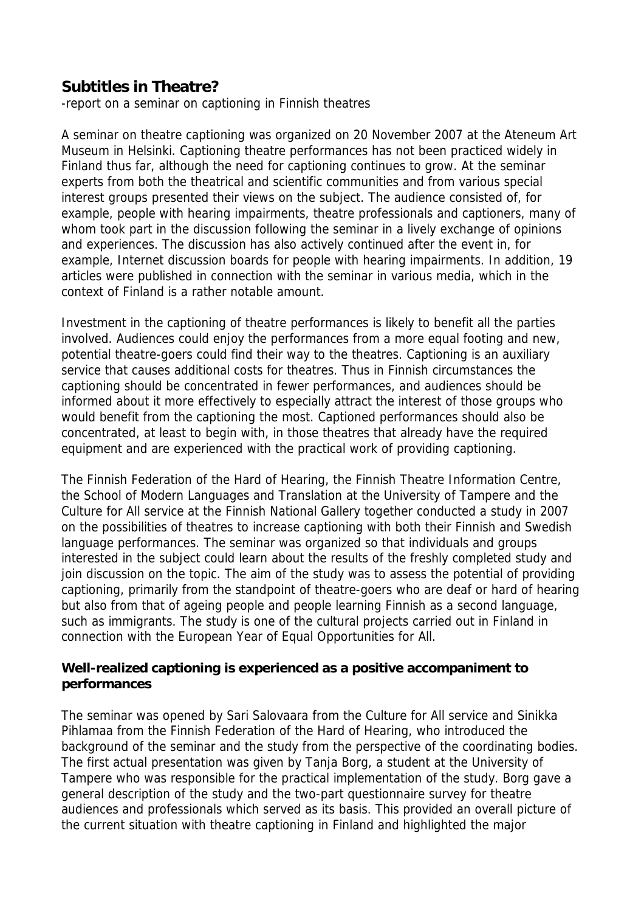# **Subtitles in Theatre?**

-report on a seminar on captioning in Finnish theatres

A seminar on theatre captioning was organized on 20 November 2007 at the Ateneum Art Museum in Helsinki. Captioning theatre performances has not been practiced widely in Finland thus far, although the need for captioning continues to grow. At the seminar experts from both the theatrical and scientific communities and from various special interest groups presented their views on the subject. The audience consisted of, for example, people with hearing impairments, theatre professionals and captioners, many of whom took part in the discussion following the seminar in a lively exchange of opinions and experiences. The discussion has also actively continued after the event in, for example, Internet discussion boards for people with hearing impairments. In addition, 19 articles were published in connection with the seminar in various media, which in the context of Finland is a rather notable amount.

Investment in the captioning of theatre performances is likely to benefit all the parties involved. Audiences could enjoy the performances from a more equal footing and new, potential theatre-goers could find their way to the theatres. Captioning is an auxiliary service that causes additional costs for theatres. Thus in Finnish circumstances the captioning should be concentrated in fewer performances, and audiences should be informed about it more effectively to especially attract the interest of those groups who would benefit from the captioning the most. Captioned performances should also be concentrated, at least to begin with, in those theatres that already have the required equipment and are experienced with the practical work of providing captioning.

The Finnish Federation of the Hard of Hearing, the Finnish Theatre Information Centre, the School of Modern Languages and Translation at the University of Tampere and the Culture for All service at the Finnish National Gallery together conducted a study in 2007 on the possibilities of theatres to increase captioning with both their Finnish and Swedish language performances. The seminar was organized so that individuals and groups interested in the subject could learn about the results of the freshly completed study and join discussion on the topic. The aim of the study was to assess the potential of providing captioning, primarily from the standpoint of theatre-goers who are deaf or hard of hearing but also from that of ageing people and people learning Finnish as a second language, such as immigrants. The study is one of the cultural projects carried out in Finland in connection with the European Year of Equal Opportunities for All.

#### **Well-realized captioning is experienced as a positive accompaniment to performances**

The seminar was opened by Sari Salovaara from the Culture for All service and Sinikka Pihlamaa from the Finnish Federation of the Hard of Hearing, who introduced the background of the seminar and the study from the perspective of the coordinating bodies. The first actual presentation was given by Tanja Borg, a student at the University of Tampere who was responsible for the practical implementation of the study. Borg gave a general description of the study and the two-part questionnaire survey for theatre audiences and professionals which served as its basis. This provided an overall picture of the current situation with theatre captioning in Finland and highlighted the major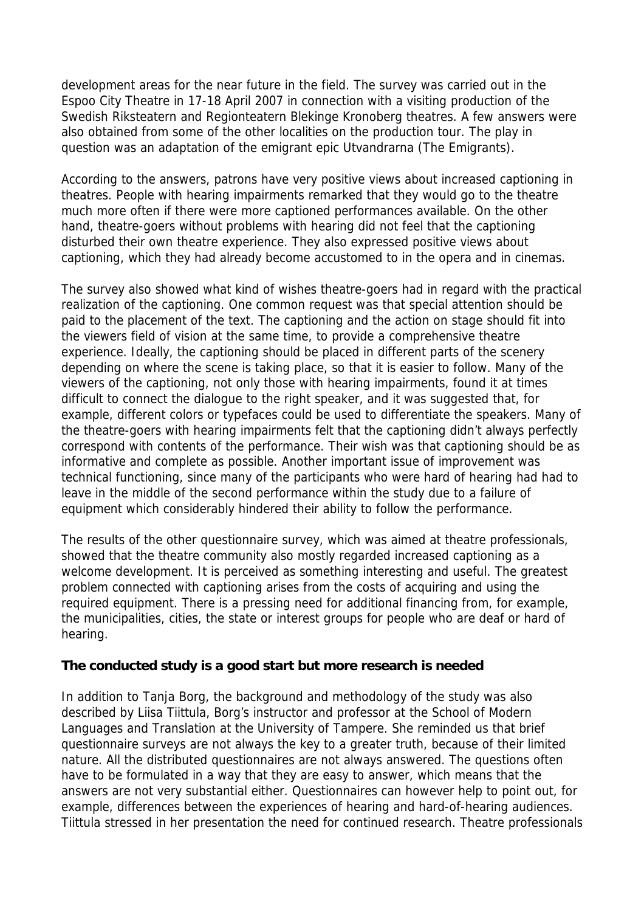development areas for the near future in the field. The survey was carried out in the Espoo City Theatre in 17-18 April 2007 in connection with a visiting production of the Swedish Riksteatern and Regionteatern Blekinge Kronoberg theatres. A few answers were also obtained from some of the other localities on the production tour. The play in question was an adaptation of the emigrant epic Utvandrarna (The Emigrants).

According to the answers, patrons have very positive views about increased captioning in theatres. People with hearing impairments remarked that they would go to the theatre much more often if there were more captioned performances available. On the other hand, theatre-goers without problems with hearing did not feel that the captioning disturbed their own theatre experience. They also expressed positive views about captioning, which they had already become accustomed to in the opera and in cinemas.

The survey also showed what kind of wishes theatre-goers had in regard with the practical realization of the captioning. One common request was that special attention should be paid to the placement of the text. The captioning and the action on stage should fit into the viewers field of vision at the same time, to provide a comprehensive theatre experience. Ideally, the captioning should be placed in different parts of the scenery depending on where the scene is taking place, so that it is easier to follow. Many of the viewers of the captioning, not only those with hearing impairments, found it at times difficult to connect the dialogue to the right speaker, and it was suggested that, for example, different colors or typefaces could be used to differentiate the speakers. Many of the theatre-goers with hearing impairments felt that the captioning didn't always perfectly correspond with contents of the performance. Their wish was that captioning should be as informative and complete as possible. Another important issue of improvement was technical functioning, since many of the participants who were hard of hearing had had to leave in the middle of the second performance within the study due to a failure of equipment which considerably hindered their ability to follow the performance.

The results of the other questionnaire survey, which was aimed at theatre professionals, showed that the theatre community also mostly regarded increased captioning as a welcome development. It is perceived as something interesting and useful. The greatest problem connected with captioning arises from the costs of acquiring and using the required equipment. There is a pressing need for additional financing from, for example, the municipalities, cities, the state or interest groups for people who are deaf or hard of hearing.

#### **The conducted study is a good start but more research is needed**

In addition to Tanja Borg, the background and methodology of the study was also described by Liisa Tiittula, Borg's instructor and professor at the School of Modern Languages and Translation at the University of Tampere. She reminded us that brief questionnaire surveys are not always the key to a greater truth, because of their limited nature. All the distributed questionnaires are not always answered. The questions often have to be formulated in a way that they are easy to answer, which means that the answers are not very substantial either. Questionnaires can however help to point out, for example, differences between the experiences of hearing and hard-of-hearing audiences. Tiittula stressed in her presentation the need for continued research. Theatre professionals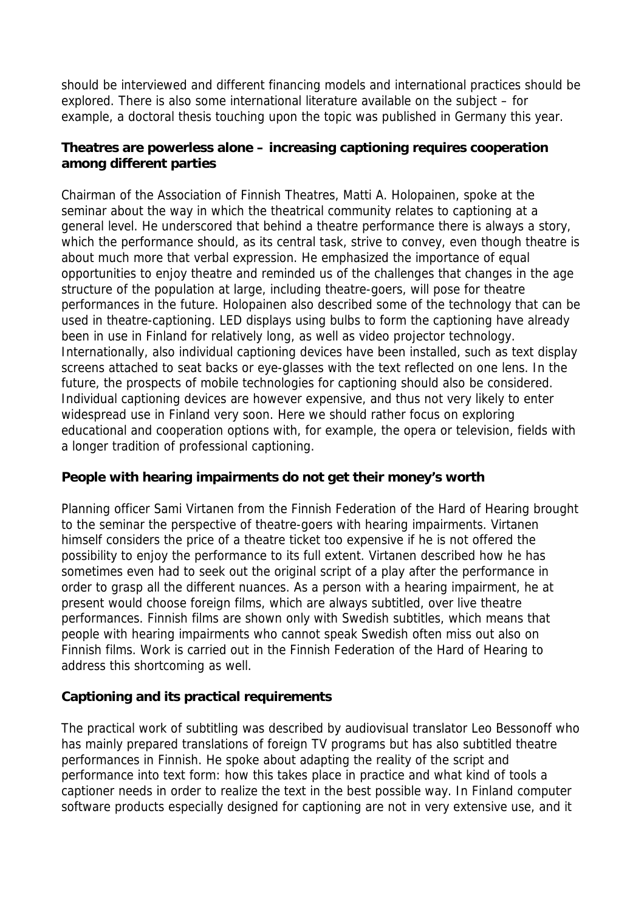should be interviewed and different financing models and international practices should be explored. There is also some international literature available on the subject – for example, a doctoral thesis touching upon the topic was published in Germany this year.

#### **Theatres are powerless alone – increasing captioning requires cooperation among different parties**

Chairman of the Association of Finnish Theatres, Matti A. Holopainen, spoke at the seminar about the way in which the theatrical community relates to captioning at a general level. He underscored that behind a theatre performance there is always a story, which the performance should, as its central task, strive to convey, even though theatre is about much more that verbal expression. He emphasized the importance of equal opportunities to enjoy theatre and reminded us of the challenges that changes in the age structure of the population at large, including theatre-goers, will pose for theatre performances in the future. Holopainen also described some of the technology that can be used in theatre-captioning. LED displays using bulbs to form the captioning have already been in use in Finland for relatively long, as well as video projector technology. Internationally, also individual captioning devices have been installed, such as text display screens attached to seat backs or eye-glasses with the text reflected on one lens. In the future, the prospects of mobile technologies for captioning should also be considered. Individual captioning devices are however expensive, and thus not very likely to enter widespread use in Finland very soon. Here we should rather focus on exploring educational and cooperation options with, for example, the opera or television, fields with a longer tradition of professional captioning.

#### **People with hearing impairments do not get their money's worth**

Planning officer Sami Virtanen from the Finnish Federation of the Hard of Hearing brought to the seminar the perspective of theatre-goers with hearing impairments. Virtanen himself considers the price of a theatre ticket too expensive if he is not offered the possibility to enjoy the performance to its full extent. Virtanen described how he has sometimes even had to seek out the original script of a play after the performance in order to grasp all the different nuances. As a person with a hearing impairment, he at present would choose foreign films, which are always subtitled, over live theatre performances. Finnish films are shown only with Swedish subtitles, which means that people with hearing impairments who cannot speak Swedish often miss out also on Finnish films. Work is carried out in the Finnish Federation of the Hard of Hearing to address this shortcoming as well.

## **Captioning and its practical requirements**

The practical work of subtitling was described by audiovisual translator Leo Bessonoff who has mainly prepared translations of foreign TV programs but has also subtitled theatre performances in Finnish. He spoke about adapting the reality of the script and performance into text form: how this takes place in practice and what kind of tools a captioner needs in order to realize the text in the best possible way. In Finland computer software products especially designed for captioning are not in very extensive use, and it